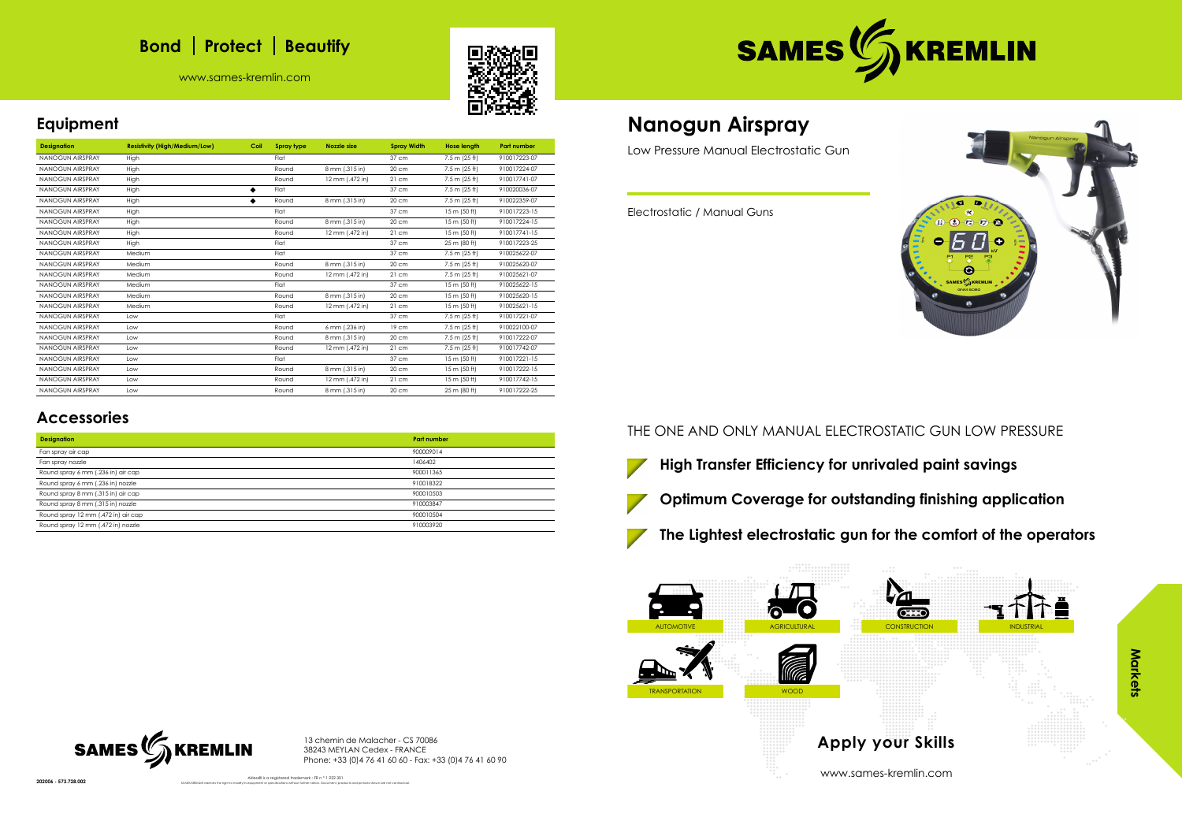

# **Bond** | Protect | Beautify

www.sames-kremlin.com





## **Equipment**

| <b>Designation</b>      | <b>Resistivity (High/Medium/Low)</b> | Coil | Spray type | Nozzle size     | <b>Spray Width</b> | <b>Hose length</b> | <b>Part number</b> |
|-------------------------|--------------------------------------|------|------------|-----------------|--------------------|--------------------|--------------------|
| <b>NANOGUN AIRSPRAY</b> | High                                 |      | Flat       |                 | 37 cm              | 7.5 m (25 ft)      | 910017223-07       |
| <b>NANOGUN AIRSPRAY</b> | High                                 |      | Round      | 8 mm (.315 in)  | 20 cm              | 7.5 m (25 ft)      | 910017224-07       |
| NANOGUN AIRSPRAY        | High                                 |      | Round      | 12 mm (.472 in) | 21 cm              | 7.5 m (25 ft)      | 910017741-07       |
| <b>NANOGUN AIRSPRAY</b> | High                                 |      | Flat       |                 | 37 cm              | 7.5 m (25 ft)      | 910020036-07       |
| <b>NANOGUN AIRSPRAY</b> | High                                 |      | Round      | 8 mm (.315 in)  | 20 cm              | 7.5 m (25 ft)      | 910022359-07       |
| <b>NANOGUN AIRSPRAY</b> | High                                 |      | Flat       |                 | 37 cm              | 15 m (50 ft)       | 910017223-15       |
| <b>NANOGUN AIRSPRAY</b> | High                                 |      | Round      | 8 mm (.315 in)  | 20 cm              | 15 m (50 ft)       | 910017224-15       |
| <b>NANOGUN AIRSPRAY</b> | High                                 |      | Round      | 12 mm (.472 in) | 21 cm              | 15 m (50 ft)       | 910017741-15       |
| NANOGUN AIRSPRAY        | High                                 |      | Flat       |                 | 37 cm              | 25 m (80 ft)       | 910017223-25       |
| <b>NANOGUN AIRSPRAY</b> | Medium                               |      | Flat       |                 | 37 cm              | 7.5 m (25 ft)      | 910025622-07       |
| <b>NANOGUN AIRSPRAY</b> | Medium                               |      | Round      | 8 mm (.315 in)  | 20 cm              | 7.5 m (25 ft)      | 910025620-07       |
| <b>NANOGUN AIRSPRAY</b> | Medium                               |      | Round      | 12 mm (.472 in) | 21 cm              | 7.5 m (25 ft)      | 910025621-07       |
| <b>NANOGUN AIRSPRAY</b> | Medium                               |      | Flat       |                 | 37 cm              | 15 m (50 ft)       | 910025622-15       |
| <b>NANOGUN AIRSPRAY</b> | Medium                               |      | Round      | 8 mm (.315 in)  | 20 cm              | 15 m (50 ft)       | 910025620-15       |
| <b>NANOGUN AIRSPRAY</b> | Medium                               |      | Round      | 12 mm (.472 in) | 21 cm              | 15 m (50 ft)       | 910025621-15       |
| <b>NANOGUN AIRSPRAY</b> | Low                                  |      | Flat       |                 | 37 cm              | 7.5 m (25 ft)      | 910017221-07       |
| <b>NANOGUN AIRSPRAY</b> | Low                                  |      | Round      | 6 mm (.236 in)  | 19 cm              | 7.5 m (25 ft)      | 910022100-07       |
| <b>NANOGUN AIRSPRAY</b> | Low                                  |      | Round      | 8 mm (.315 in)  | 20 cm              | 7.5 m (25 ft)      | 910017222-07       |
| <b>NANOGUN AIRSPRAY</b> | Low                                  |      | Round      | 12 mm (.472 in) | 21 cm              | 7.5 m (25 ft)      | 910017742-07       |
| <b>NANOGUN AIRSPRAY</b> | Low                                  |      | Flat       |                 | 37 cm              | 15 m (50 ft)       | 910017221-15       |
| <b>NANOGUN AIRSPRAY</b> | Low                                  |      | Round      | 8 mm (.315 in)  | 20 cm              | 15 m (50 ft)       | 910017222-15       |
| <b>NANOGUN AIRSPRAY</b> | Low                                  |      | Round      | 12 mm (.472 in) | 21 cm              | 15 m (50 ft)       | 910017742-15       |
| <b>NANOGUN AIRSPRAY</b> | Low                                  |      | Round      | 8 mm (.315 in)  | 20 cm              | 25 m (80 ft)       | 910017222-25       |

AUTOMOTIVE AGRICULTURAL CONSTRUCTION INDUSTRIAL AGRICULTURAL CONSTRUCTION INDUSTRIAL TRANSPORTATION WOOD **Apply your Skills**

## **Accessories**

| <b>Part number</b> |
|--------------------|
| 900009014          |
| 1406402            |
| 900011365          |
| 910018322          |
| 900010503          |
| 910003847          |
| 900010504          |
| 910003920          |
|                    |

13 chemin de Malacher - CS 70086 38243 MEYLAN Cedex - FRANCE Phone: +33 (0)4 76 41 60 60 - Fax: +33 (0)4 76 41 60 90

SAMES KREMLIN reserves the right to modify its equipment or specifications without further notice. Document, products and pictures shown are not contractual.



Airless® is a registered trademark : FR n ° 1 222 301

# **Nanogun Airspray**

Low Pressure Manual Electrostatic Gun

Electrostatic / Manual Guns

THE ONE AND ONLY MANUAL ELECTROSTATIC GUN LOW PRESSURE





**The Lightest electrostatic gun for the comfort of the operators**

www.sames-kremlin.com